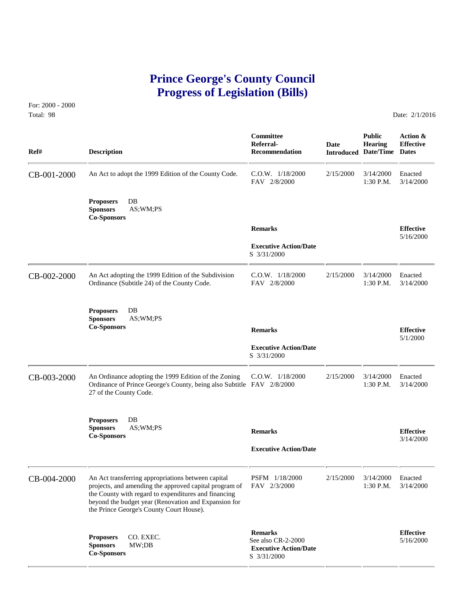# **Prince George's County Council Progress of Legislation (Bills)**

For: 2000 - 2000 Total: 98 Date: 2/1/2016

| Ref#        | <b>Description</b>                                                                                                                                                                                                 | Committee<br>Referral-<br><b>Recommendation</b>                                     | Date      | <b>Public</b><br><b>Hearing</b><br><b>Introduced Date/Time</b> | Action &<br><b>Effective</b><br><b>Dates</b> |
|-------------|--------------------------------------------------------------------------------------------------------------------------------------------------------------------------------------------------------------------|-------------------------------------------------------------------------------------|-----------|----------------------------------------------------------------|----------------------------------------------|
| CB-001-2000 | An Act to adopt the 1999 Edition of the County Code.                                                                                                                                                               | $C.O.W.$ $1/18/2000$<br>FAV 2/8/2000                                                | 2/15/2000 | 3/14/2000<br>1:30 P.M.                                         | Enacted<br>3/14/2000                         |
|             | $DB$<br><b>Proposers</b><br>AS;WM;PS<br><b>Sponsors</b><br><b>Co-Sponsors</b>                                                                                                                                      |                                                                                     |           |                                                                |                                              |
|             |                                                                                                                                                                                                                    | <b>Remarks</b>                                                                      |           |                                                                | <b>Effective</b>                             |
|             |                                                                                                                                                                                                                    | <b>Executive Action/Date</b><br>S 3/31/2000                                         |           |                                                                | 5/16/2000                                    |
| CB-002-2000 | An Act adopting the 1999 Edition of the Subdivision<br>Ordinance (Subtitle 24) of the County Code.                                                                                                                 | $C.O.W.$ $1/18/2000$<br>FAV 2/8/2000                                                | 2/15/2000 | 3/14/2000<br>1:30 P.M.                                         | Enacted<br>3/14/2000                         |
|             | <b>Proposers</b><br>$DB$<br>AS;WM;PS<br><b>Sponsors</b><br><b>Co-Sponsors</b>                                                                                                                                      | <b>Remarks</b>                                                                      |           |                                                                | <b>Effective</b><br>5/1/2000                 |
|             |                                                                                                                                                                                                                    | <b>Executive Action/Date</b><br>S 3/31/2000                                         |           |                                                                |                                              |
| CB-003-2000 | An Ordinance adopting the 1999 Edition of the Zoning<br>Ordinance of Prince George's County, being also Subtitle FAV 2/8/2000<br>27 of the County Code.                                                            | $C.O.W.$ $1/18/2000$                                                                | 2/15/2000 | 3/14/2000<br>1:30 P.M.                                         | Enacted<br>3/14/2000                         |
|             | <b>Proposers</b><br>$DB$<br>AS;WM;PS<br><b>Sponsors</b><br><b>Co-Sponsors</b>                                                                                                                                      | <b>Remarks</b><br><b>Executive Action/Date</b>                                      |           |                                                                | <b>Effective</b><br>3/14/2000                |
|             | An Act transferring appropriations between capital                                                                                                                                                                 | PSFM 1/18/2000                                                                      | 2/15/2000 | 3/14/2000                                                      | Enacted                                      |
| CB-004-2000 | projects, and amending the approved capital program of<br>the County with regard to expenditures and financing<br>beyond the budget year (Renovation and Expansion for<br>the Prince George's County Court House). | FAV 2/3/2000                                                                        |           | 1:30 P.M.                                                      | 3/14/2000                                    |
|             | CO. EXEC.<br><b>Proposers</b><br><b>Sponsors</b><br>MW;DB<br><b>Co-Sponsors</b>                                                                                                                                    | <b>Remarks</b><br>See also CR-2-2000<br><b>Executive Action/Date</b><br>S 3/31/2000 |           |                                                                | <b>Effective</b><br>5/16/2000                |
|             |                                                                                                                                                                                                                    |                                                                                     |           |                                                                |                                              |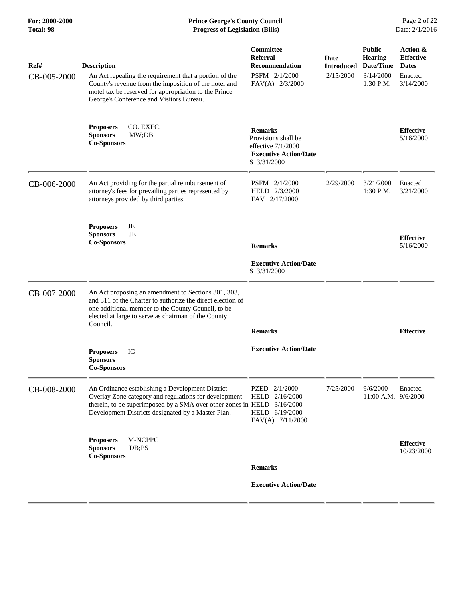| Ref#<br>CB-005-2000 | <b>Description</b><br>An Act repealing the requirement that a portion of the<br>County's revenue from the imposition of the hotel and<br>motel tax be reserved for appropriation to the Prince<br>George's Conference and Visitors Bureau. | Committee<br>Referral-<br><b>Recommendation</b><br>PSFM 2/1/2000<br>FAV(A) 2/3/2000                          | <b>Date</b><br><b>Introduced</b><br>2/15/2000 | <b>Public</b><br><b>Hearing</b><br>Date/Time<br>3/14/2000<br>1:30 P.M. | Action &<br><b>Effective</b><br><b>Dates</b><br>Enacted<br>3/14/2000 |
|---------------------|--------------------------------------------------------------------------------------------------------------------------------------------------------------------------------------------------------------------------------------------|--------------------------------------------------------------------------------------------------------------|-----------------------------------------------|------------------------------------------------------------------------|----------------------------------------------------------------------|
|                     | CO. EXEC.<br><b>Proposers</b><br><b>Sponsors</b><br>MW;DB<br><b>Co-Sponsors</b>                                                                                                                                                            | <b>Remarks</b><br>Provisions shall be<br>effective $7/1/2000$<br><b>Executive Action/Date</b><br>S 3/31/2000 |                                               |                                                                        | <b>Effective</b><br>5/16/2000                                        |
| CB-006-2000         | An Act providing for the partial reimbursement of<br>attorney's fees for prevailing parties represented by<br>attorneys provided by third parties.                                                                                         | PSFM 2/1/2000<br>HELD 2/3/2000<br>FAV 2/17/2000                                                              | 2/29/2000                                     | 3/21/2000<br>1:30 P.M.                                                 | Enacted<br>3/21/2000                                                 |
|                     | <b>Proposers</b><br>JE<br>JE<br><b>Sponsors</b><br><b>Co-Sponsors</b>                                                                                                                                                                      | <b>Remarks</b><br><b>Executive Action/Date</b><br>S 3/31/2000                                                |                                               |                                                                        | <b>Effective</b><br>5/16/2000                                        |
| CB-007-2000         | An Act proposing an amendment to Sections 301, 303,<br>and 311 of the Charter to authorize the direct election of<br>one additional member to the County Council, to be<br>elected at large to serve as chairman of the County<br>Council. | <b>Remarks</b>                                                                                               |                                               |                                                                        | <b>Effective</b>                                                     |
|                     | <b>Proposers</b><br>IG<br><b>Sponsors</b><br><b>Co-Sponsors</b>                                                                                                                                                                            | <b>Executive Action/Date</b>                                                                                 |                                               |                                                                        |                                                                      |
| CB-008-2000         | An Ordinance establishing a Development District<br>Overlay Zone category and regulations for development<br>therein, to be superimposed by a SMA over other zones in HELD 3/16/2000<br>Development Districts designated by a Master Plan. | PZED 2/1/2000<br>HELD 2/16/2000<br>HELD 6/19/2000<br>FAV(A) 7/11/2000                                        | 7/25/2000                                     | 9/6/2000<br>11:00 A.M. 9/6/2000                                        | Enacted                                                              |
|                     | M-NCPPC<br><b>Proposers</b><br><b>Sponsors</b><br>DB; PS<br><b>Co-Sponsors</b>                                                                                                                                                             | <b>Remarks</b>                                                                                               |                                               |                                                                        | <b>Effective</b><br>10/23/2000                                       |
|                     |                                                                                                                                                                                                                                            | <b>Executive Action/Date</b>                                                                                 |                                               |                                                                        |                                                                      |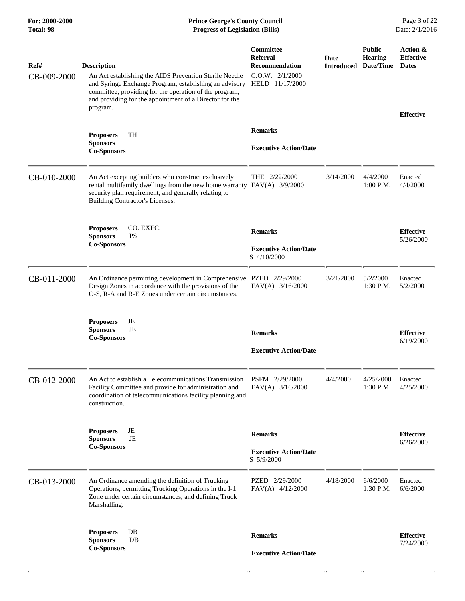| Ref#        | <b>Description</b>                                                                                                                                                                                                                                | Committee<br>Referral-<br><b>Recommendation</b>               | Date<br><b>Introduced</b> | <b>Public</b><br><b>Hearing</b><br>Date/Time | Action &<br><b>Effective</b><br><b>Dates</b> |
|-------------|---------------------------------------------------------------------------------------------------------------------------------------------------------------------------------------------------------------------------------------------------|---------------------------------------------------------------|---------------------------|----------------------------------------------|----------------------------------------------|
| CB-009-2000 | An Act establishing the AIDS Prevention Sterile Needle<br>and Syringe Exchange Program; establishing an advisory<br>committee; providing for the operation of the program;<br>and providing for the appointment of a Director for the<br>program. | $C.0.W.$ $2/1/2000$<br>HELD 11/17/2000                        |                           |                                              | <b>Effective</b>                             |
|             | <b>TH</b><br><b>Proposers</b><br><b>Sponsors</b><br><b>Co-Sponsors</b>                                                                                                                                                                            | <b>Remarks</b><br><b>Executive Action/Date</b>                |                           |                                              |                                              |
| CB-010-2000 | An Act excepting builders who construct exclusively<br>rental multifamily dwellings from the new home warranty FAV(A) 3/9/2000<br>security plan requirement, and generally relating to<br>Building Contractor's Licenses.                         | THE $2/22/2000$                                               | 3/14/2000                 | 4/4/2000<br>1:00 P.M.                        | Enacted<br>4/4/2000                          |
|             | CO. EXEC.<br><b>Proposers</b><br><b>PS</b><br><b>Sponsors</b><br><b>Co-Sponsors</b>                                                                                                                                                               | <b>Remarks</b><br><b>Executive Action/Date</b><br>S 4/10/2000 |                           |                                              | <b>Effective</b><br>5/26/2000                |
| CB-011-2000 | An Ordinance permitting development in Comprehensive PZED 2/29/2000<br>Design Zones in accordance with the provisions of the<br>O-S, R-A and R-E Zones under certain circumstances.                                                               | $FAV(A)$ 3/16/2000                                            | 3/21/2000                 | 5/2/2000<br>$1:30$ P.M.                      | Enacted<br>5/2/2000                          |
|             | <b>Proposers</b><br>JE<br>JE<br><b>Sponsors</b><br><b>Co-Sponsors</b>                                                                                                                                                                             | <b>Remarks</b><br><b>Executive Action/Date</b>                |                           |                                              | <b>Effective</b><br>6/19/2000                |
| CB-012-2000 | An Act to establish a Telecommunications Transmission<br>Facility Committee and provide for administration and<br>coordination of telecommunications facility planning and<br>construction.                                                       | PSFM 2/29/2000<br>FAV(A) 3/16/2000                            | 4/4/2000                  | 4/25/2000<br>1:30 P.M.                       | Enacted<br>4/25/2000                         |
|             | <b>Proposers</b><br>JE<br>JE<br><b>Sponsors</b><br><b>Co-Sponsors</b>                                                                                                                                                                             | <b>Remarks</b><br><b>Executive Action/Date</b><br>S 5/9/2000  |                           |                                              | <b>Effective</b><br>6/26/2000                |
| CB-013-2000 | An Ordinance amending the definition of Trucking<br>Operations, permitting Trucking Operations in the I-1<br>Zone under certain circumstances, and defining Truck<br>Marshalling.                                                                 | PZED 2/29/2000<br>FAV(A) 4/12/2000                            | 4/18/2000                 | 6/6/2000<br>1:30 P.M.                        | Enacted<br>6/6/2000                          |
|             | DB<br><b>Proposers</b><br><b>Sponsors</b><br>DB<br><b>Co-Sponsors</b>                                                                                                                                                                             | <b>Remarks</b><br><b>Executive Action/Date</b>                |                           |                                              | <b>Effective</b><br>7/24/2000                |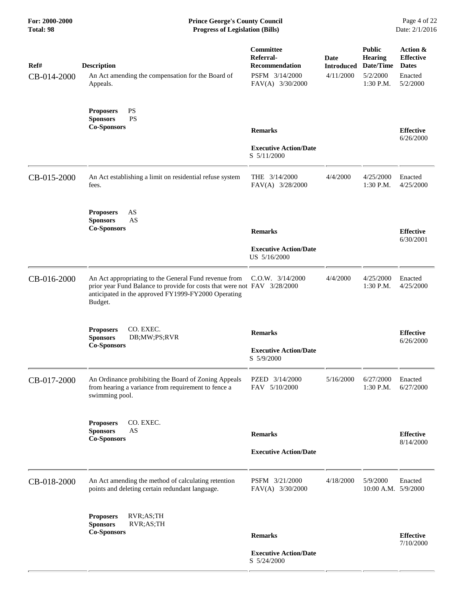| Ref#<br>CB-014-2000 | <b>Description</b><br>An Act amending the compensation for the Board of<br>Appeals.                                                                                                                 | Committee<br>Referral-<br><b>Recommendation</b><br>PSFM 3/14/2000<br>FAV(A) 3/30/2000 | Date<br><b>Introduced</b><br>4/11/2000 | <b>Public</b><br><b>Hearing</b><br>Date/Time<br>5/2/2000<br>1:30 P.M. | Action &<br><b>Effective</b><br><b>Dates</b><br>Enacted<br>5/2/2000 |
|---------------------|-----------------------------------------------------------------------------------------------------------------------------------------------------------------------------------------------------|---------------------------------------------------------------------------------------|----------------------------------------|-----------------------------------------------------------------------|---------------------------------------------------------------------|
|                     | PS<br><b>Proposers</b><br><b>PS</b><br><b>Sponsors</b><br><b>Co-Sponsors</b>                                                                                                                        | <b>Remarks</b><br><b>Executive Action/Date</b><br>S 5/11/2000                         |                                        |                                                                       | <b>Effective</b><br>6/26/2000                                       |
| CB-015-2000         | An Act establishing a limit on residential refuse system<br>fees.                                                                                                                                   | THE 3/14/2000<br>FAV(A) 3/28/2000                                                     | 4/4/2000                               | 4/25/2000<br>1:30 P.M.                                                | Enacted<br>4/25/2000                                                |
|                     | AS<br><b>Proposers</b><br>AS<br><b>Sponsors</b><br><b>Co-Sponsors</b>                                                                                                                               | <b>Remarks</b><br><b>Executive Action/Date</b><br>US 5/16/2000                        |                                        |                                                                       | <b>Effective</b><br>6/30/2001                                       |
| CB-016-2000         | An Act appropriating to the General Fund revenue from<br>prior year Fund Balance to provide for costs that were not FAV 3/28/2000<br>anticipated in the approved FY1999-FY2000 Operating<br>Budget. | $C.O.W.$ $3/14/2000$                                                                  | 4/4/2000                               | 4/25/2000<br>1:30 P.M.                                                | Enacted<br>4/25/2000                                                |
|                     | CO. EXEC.<br><b>Proposers</b><br><b>Sponsors</b><br>DB;MW;PS;RVR<br><b>Co-Sponsors</b>                                                                                                              | <b>Remarks</b><br><b>Executive Action/Date</b><br>S 5/9/2000                          |                                        |                                                                       | <b>Effective</b><br>6/26/2000                                       |
| CB-017-2000         | An Ordinance prohibiting the Board of Zoning Appeals<br>from hearing a variance from requirement to fence a<br>swimming pool.                                                                       | PZED 3/14/2000<br>FAV 5/10/2000                                                       | 5/16/2000                              | 6/27/2000<br>1:30 P.M.                                                | Enacted<br>6/27/2000                                                |
|                     | CO. EXEC.<br><b>Proposers</b><br>AS<br><b>Sponsors</b><br><b>Co-Sponsors</b>                                                                                                                        | <b>Remarks</b><br><b>Executive Action/Date</b>                                        |                                        |                                                                       | <b>Effective</b><br>8/14/2000                                       |
| CB-018-2000         | An Act amending the method of calculating retention<br>points and deleting certain redundant language.                                                                                              | PSFM 3/21/2000<br>FAV(A) 3/30/2000                                                    | 4/18/2000                              | 5/9/2000<br>10:00 A.M. 5/9/2000                                       | Enacted                                                             |
|                     | RVR;AS;TH<br><b>Proposers</b><br><b>Sponsors</b><br>RVR;AS;TH<br><b>Co-Sponsors</b>                                                                                                                 | <b>Remarks</b>                                                                        |                                        |                                                                       | <b>Effective</b>                                                    |
|                     |                                                                                                                                                                                                     | <b>Executive Action/Date</b><br>S 5/24/2000                                           |                                        |                                                                       | 7/10/2000                                                           |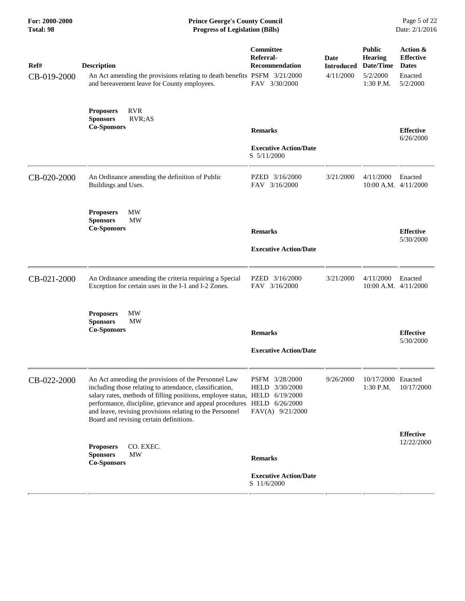| For: 2000-2000<br>Total: 98 | <b>Prince George's County Council</b><br><b>Progress of Legislation (Bills)</b>                                                                                                                                                                                                                                                                                                 |                                                                         |                                        |                                                                       | Page 5 of 22<br>Date: 2/1/2016                                      |
|-----------------------------|---------------------------------------------------------------------------------------------------------------------------------------------------------------------------------------------------------------------------------------------------------------------------------------------------------------------------------------------------------------------------------|-------------------------------------------------------------------------|----------------------------------------|-----------------------------------------------------------------------|---------------------------------------------------------------------|
| Ref#<br>CB-019-2000         | <b>Description</b><br>An Act amending the provisions relating to death benefits PSFM 3/21/2000<br>and bereavement leave for County employees.                                                                                                                                                                                                                                   | <b>Committee</b><br>Referral-<br><b>Recommendation</b><br>FAV 3/30/2000 | Date<br><b>Introduced</b><br>4/11/2000 | <b>Public</b><br><b>Hearing</b><br>Date/Time<br>5/2/2000<br>1:30 P.M. | Action &<br><b>Effective</b><br><b>Dates</b><br>Enacted<br>5/2/2000 |
|                             | <b>RVR</b><br><b>Proposers</b><br><b>Sponsors</b><br>RVR;AS<br><b>Co-Sponsors</b>                                                                                                                                                                                                                                                                                               | <b>Remarks</b><br><b>Executive Action/Date</b>                          |                                        |                                                                       | <b>Effective</b><br>6/26/2000                                       |
|                             |                                                                                                                                                                                                                                                                                                                                                                                 | S 5/11/2000                                                             |                                        |                                                                       |                                                                     |
| CB-020-2000                 | An Ordinance amending the definition of Public<br>Buildings and Uses.                                                                                                                                                                                                                                                                                                           | PZED 3/16/2000<br>FAV 3/16/2000                                         | 3/21/2000                              | 4/11/2000<br>10:00 A.M. 4/11/2000                                     | Enacted                                                             |
|                             | <b>MW</b><br><b>Proposers</b><br><b>Sponsors</b><br>MW<br><b>Co-Sponsors</b>                                                                                                                                                                                                                                                                                                    | <b>Remarks</b>                                                          |                                        |                                                                       | <b>Effective</b><br>5/30/2000                                       |
|                             |                                                                                                                                                                                                                                                                                                                                                                                 | <b>Executive Action/Date</b>                                            |                                        |                                                                       |                                                                     |
| CB-021-2000                 | An Ordinance amending the criteria requiring a Special<br>Exception for certain uses in the I-1 and I-2 Zones.                                                                                                                                                                                                                                                                  | PZED 3/16/2000<br>FAV 3/16/2000                                         | 3/21/2000                              | 4/11/2000<br>$10:00$ A.M. $4/11/2000$                                 | Enacted                                                             |
|                             | <b>MW</b><br><b>Proposers</b><br><b>Sponsors</b><br><b>MW</b><br><b>Co-Sponsors</b>                                                                                                                                                                                                                                                                                             | <b>Remarks</b><br><b>Executive Action/Date</b>                          |                                        |                                                                       | <b>Effective</b><br>5/30/2000                                       |
| CB-022-2000                 | An Act amending the provisions of the Personnel Law<br>including those relating to attendance, classification,<br>salary rates, methods of filling positions, employee status, HELD 6/19/2000<br>performance, discipline, grievance and appeal procedures HELD 6/26/2000<br>and leave, revising provisions relating to the Personnel<br>Board and revising certain definitions. | PSFM 3/28/2000<br>3/30/2000<br>HELD<br>FAV(A) 9/21/2000                 | 9/26/2000                              | 10/17/2000 Enacted<br>1:30 P.M.                                       | 10/17/2000                                                          |
|                             | <b>Proposers</b><br>CO. EXEC.<br>MW                                                                                                                                                                                                                                                                                                                                             |                                                                         |                                        |                                                                       | <b>Effective</b><br>12/22/2000                                      |
|                             | <b>Sponsors</b><br><b>Co-Sponsors</b>                                                                                                                                                                                                                                                                                                                                           | <b>Remarks</b>                                                          |                                        |                                                                       |                                                                     |
|                             |                                                                                                                                                                                                                                                                                                                                                                                 | <b>Executive Action/Date</b><br>S 11/6/2000                             |                                        |                                                                       |                                                                     |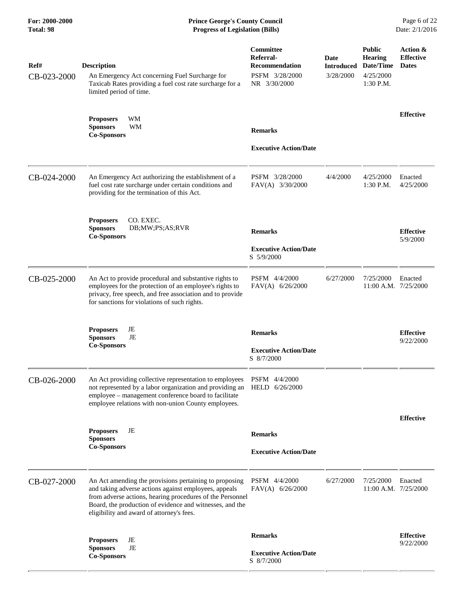## **For: 2000-2000 Prince George's County Council** Page 6 of 22<br> **Formal Page 6 of 22**<br> **Prince George's County Council** Page 6 of 22<br> **Progress of Legislation (Bills)** Date: 2/1/2016 **Total: 98 Progress of Legislation (Bills)**

| Ref#<br>CB-023-2000 | <b>Description</b><br>An Emergency Act concerning Fuel Surcharge for<br>Taxicab Rates providing a fuel cost rate surcharge for a<br>limited period of time.                                                                                                                           | Committee<br>Referral-<br><b>Recommendation</b><br>PSFM 3/28/2000<br>NR 3/30/2000 | Date<br><b>Introduced</b><br>3/28/2000 | <b>Public</b><br><b>Hearing</b><br>Date/Time<br>4/25/2000<br>1:30 P.M. | Action &<br><b>Effective</b><br><b>Dates</b> |
|---------------------|---------------------------------------------------------------------------------------------------------------------------------------------------------------------------------------------------------------------------------------------------------------------------------------|-----------------------------------------------------------------------------------|----------------------------------------|------------------------------------------------------------------------|----------------------------------------------|
|                     | WM<br><b>Proposers</b><br><b>WM</b><br><b>Sponsors</b><br><b>Co-Sponsors</b>                                                                                                                                                                                                          | <b>Remarks</b><br><b>Executive Action/Date</b>                                    |                                        |                                                                        | <b>Effective</b>                             |
| CB-024-2000         | An Emergency Act authorizing the establishment of a<br>fuel cost rate surcharge under certain conditions and<br>providing for the termination of this Act.                                                                                                                            | PSFM 3/28/2000<br>FAV(A) 3/30/2000                                                | 4/4/2000                               | 4/25/2000<br>1:30 P.M.                                                 | Enacted<br>4/25/2000                         |
|                     | CO. EXEC.<br><b>Proposers</b><br><b>Sponsors</b><br>DB;MW;PS;AS;RVR<br><b>Co-Sponsors</b>                                                                                                                                                                                             | <b>Remarks</b><br><b>Executive Action/Date</b><br>S 5/9/2000                      |                                        |                                                                        | <b>Effective</b><br>5/9/2000                 |
| CB-025-2000         | An Act to provide procedural and substantive rights to<br>employees for the protection of an employee's rights to<br>privacy, free speech, and free association and to provide<br>for sanctions for violations of such rights.                                                        | PSFM 4/4/2000<br>FAV(A) 6/26/2000                                                 | 6/27/2000                              | 7/25/2000<br>11:00 A.M. 7/25/2000                                      | Enacted                                      |
|                     | JE<br><b>Proposers</b><br>JE<br><b>Sponsors</b><br><b>Co-Sponsors</b>                                                                                                                                                                                                                 | <b>Remarks</b><br><b>Executive Action/Date</b><br>S 8/7/2000                      |                                        |                                                                        | <b>Effective</b><br>9/22/2000                |
| CB-026-2000         | An Act providing collective representation to employees PSFM 4/4/2000<br>not represented by a labor organization and providing an HELD 6/26/2000<br>employee - management conference board to facilitate<br>employee relations with non-union County employees.                       |                                                                                   |                                        |                                                                        |                                              |
|                     | <b>Proposers</b><br>JE<br><b>Sponsors</b><br><b>Co-Sponsors</b>                                                                                                                                                                                                                       | <b>Remarks</b><br><b>Executive Action/Date</b>                                    |                                        |                                                                        | <b>Effective</b>                             |
| CB-027-2000         | An Act amending the provisions pertaining to proposing<br>and taking adverse actions against employees, appeals<br>from adverse actions, hearing procedures of the Personnel<br>Board, the production of evidence and witnesses, and the<br>eligibility and award of attorney's fees. | PSFM 4/4/2000<br>$FAV(A)$ 6/26/2000                                               | 6/27/2000                              | 7/25/2000<br>11:00 A.M. 7/25/2000                                      | Enacted                                      |
|                     | JE<br><b>Proposers</b><br>JE<br><b>Sponsors</b><br><b>Co-Sponsors</b>                                                                                                                                                                                                                 | <b>Remarks</b><br><b>Executive Action/Date</b><br>S 8/7/2000                      |                                        |                                                                        | <b>Effective</b><br>9/22/2000                |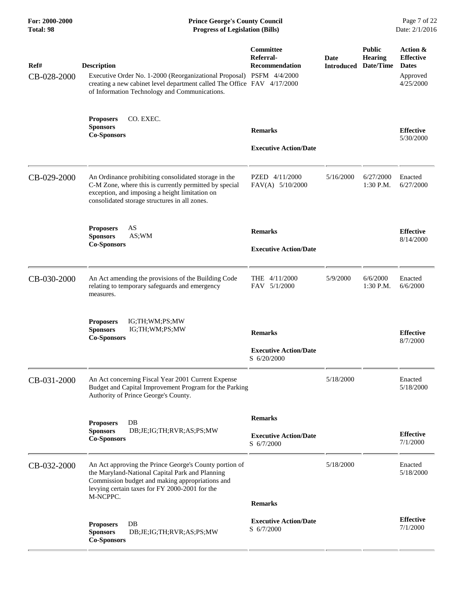| For: 2000-2000<br>Total: 98 | <b>Prince George's County Council</b><br>Date: 2/1/2016<br><b>Progress of Legislation (Bills)</b>                                                                                                                          |                                                               |           |                                                                |                                                                       |
|-----------------------------|----------------------------------------------------------------------------------------------------------------------------------------------------------------------------------------------------------------------------|---------------------------------------------------------------|-----------|----------------------------------------------------------------|-----------------------------------------------------------------------|
| Ref#<br>CB-028-2000         | <b>Description</b><br>Executive Order No. 1-2000 (Reorganizational Proposal) PSFM 4/4/2000<br>creating a new cabinet level department called The Office FAV 4/17/2000<br>of Information Technology and Communications.     | Committee<br>Referral-<br><b>Recommendation</b>               | Date      | <b>Public</b><br><b>Hearing</b><br><b>Introduced Date/Time</b> | Action &<br><b>Effective</b><br><b>Dates</b><br>Approved<br>4/25/2000 |
|                             | CO. EXEC.<br><b>Proposers</b><br><b>Sponsors</b><br><b>Co-Sponsors</b>                                                                                                                                                     | <b>Remarks</b><br><b>Executive Action/Date</b>                |           |                                                                | <b>Effective</b><br>5/30/2000                                         |
| CB-029-2000                 | An Ordinance prohibiting consolidated storage in the<br>C-M Zone, where this is currently permitted by special<br>exception, and imposing a height limitation on<br>consolidated storage structures in all zones.          | PZED 4/11/2000<br>FAV(A) 5/10/2000                            | 5/16/2000 | 6/27/2000<br>1:30 P.M.                                         | Enacted<br>6/27/2000                                                  |
|                             | AS<br><b>Proposers</b><br><b>Sponsors</b><br>AS:WM<br><b>Co-Sponsors</b>                                                                                                                                                   | <b>Remarks</b><br><b>Executive Action/Date</b>                |           |                                                                | <b>Effective</b><br>8/14/2000                                         |
| CB-030-2000                 | An Act amending the provisions of the Building Code<br>relating to temporary safeguards and emergency<br>measures.                                                                                                         | THE 4/11/2000<br>FAV 5/1/2000                                 | 5/9/2000  | 6/6/2000<br>$1:30$ P.M.                                        | Enacted<br>6/6/2000                                                   |
|                             | <b>Proposers</b><br>IG;TH;WM;PS;MW<br><b>Sponsors</b><br>IG;TH;WM;PS;MW<br><b>Co-Sponsors</b>                                                                                                                              | <b>Remarks</b><br><b>Executive Action/Date</b><br>S 6/20/2000 |           |                                                                | <b>Effective</b><br>8/7/2000                                          |
| CB-031-2000                 | An Act concerning Fiscal Year 2001 Current Expense<br>Budget and Capital Improvement Program for the Parking<br>Authority of Prince George's County.                                                                       |                                                               | 5/18/2000 |                                                                | Enacted<br>5/18/2000                                                  |
|                             | DB<br><b>Proposers</b><br><b>Sponsors</b><br>DB;JE;IG;TH;RVR;AS;PS;MW<br><b>Co-Sponsors</b>                                                                                                                                | <b>Remarks</b><br><b>Executive Action/Date</b><br>S 6/7/2000  |           |                                                                | <b>Effective</b><br>7/1/2000                                          |
| CB-032-2000                 | An Act approving the Prince George's County portion of<br>the Maryland-National Capital Park and Planning<br>Commission budget and making appropriations and<br>levying certain taxes for FY 2000-2001 for the<br>M-NCPPC. |                                                               | 5/18/2000 |                                                                | Enacted<br>5/18/2000                                                  |
|                             | DB<br><b>Proposers</b><br><b>Sponsors</b><br>DB;JE;IG;TH;RVR;AS;PS;MW<br><b>Co-Sponsors</b>                                                                                                                                | <b>Remarks</b><br><b>Executive Action/Date</b><br>S 6/7/2000  |           |                                                                | <b>Effective</b><br>7/1/2000                                          |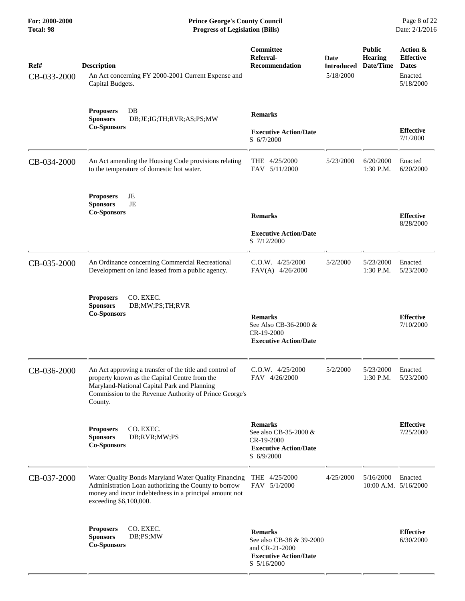| Ref#<br>CB-033-2000 | <b>Description</b><br>An Act concerning FY 2000-2001 Current Expense and<br>Capital Budgets.                                                                                                                                 | Committee<br>Referral-<br><b>Recommendation</b>                                                              | Date<br><b>Introduced</b><br>5/18/2000 | <b>Public</b><br><b>Hearing</b><br>Date/Time | Action &<br><b>Effective</b><br><b>Dates</b><br>Enacted<br>5/18/2000 |
|---------------------|------------------------------------------------------------------------------------------------------------------------------------------------------------------------------------------------------------------------------|--------------------------------------------------------------------------------------------------------------|----------------------------------------|----------------------------------------------|----------------------------------------------------------------------|
|                     | DB<br><b>Proposers</b><br><b>Sponsors</b><br>DB;JE;IG;TH;RVR;AS;PS;MW<br><b>Co-Sponsors</b>                                                                                                                                  | <b>Remarks</b><br><b>Executive Action/Date</b><br>S 6/7/2000                                                 |                                        |                                              | <b>Effective</b><br>7/1/2000                                         |
| CB-034-2000         | An Act amending the Housing Code provisions relating<br>to the temperature of domestic hot water.                                                                                                                            | THE 4/25/2000<br>FAV 5/11/2000                                                                               | 5/23/2000                              | 6/20/2000<br>1:30 P.M.                       | Enacted<br>6/20/2000                                                 |
|                     | JE<br><b>Proposers</b><br>JE<br><b>Sponsors</b><br><b>Co-Sponsors</b>                                                                                                                                                        | <b>Remarks</b><br><b>Executive Action/Date</b><br>S 7/12/2000                                                |                                        |                                              | <b>Effective</b><br>8/28/2000                                        |
| CB-035-2000         | An Ordinance concerning Commercial Recreational<br>Development on land leased from a public agency.                                                                                                                          | $C.0.W.$ 4/25/2000<br>FAV(A) 4/26/2000                                                                       | 5/2/2000                               | 5/23/2000<br>1:30 P.M.                       | Enacted<br>5/23/2000                                                 |
|                     | CO. EXEC.<br><b>Proposers</b><br><b>Sponsors</b><br>DB;MW;PS;TH;RVR<br><b>Co-Sponsors</b>                                                                                                                                    | <b>Remarks</b><br>See Also CB-36-2000 &<br>CR-19-2000<br><b>Executive Action/Date</b>                        |                                        |                                              | <b>Effective</b><br>7/10/2000                                        |
| CB-036-2000         | An Act approving a transfer of the title and control of<br>property known as the Capital Centre from the<br>Maryland-National Capital Park and Planning<br>Commission to the Revenue Authority of Prince George's<br>County. | $C.0.W.$ 4/25/2000<br>FAV 4/26/2000                                                                          | 5/2/2000                               | 5/23/2000<br>$1:30$ P.M.                     | Enacted<br>5/23/2000                                                 |
|                     | CO. EXEC.<br><b>Proposers</b><br><b>Sponsors</b><br>DB;RVR;MW;PS<br><b>Co-Sponsors</b>                                                                                                                                       | <b>Remarks</b><br>See also CB-35-2000 &<br>CR-19-2000<br><b>Executive Action/Date</b><br>$S \frac{6}{9}2000$ |                                        |                                              | <b>Effective</b><br>7/25/2000                                        |
| CB-037-2000         | Water Quality Bonds Maryland Water Quality Financing<br>Administration Loan authorizing the County to borrow<br>money and incur indebtedness in a principal amount not<br>exceeding \$6,100,000.                             | THE 4/25/2000<br>FAV 5/1/2000                                                                                | 4/25/2000                              | 5/16/2000<br>10:00 A.M. 5/16/2000            | Enacted                                                              |
|                     | CO. EXEC.<br><b>Proposers</b><br>DB;PS;MW<br><b>Sponsors</b><br><b>Co-Sponsors</b>                                                                                                                                           | <b>Remarks</b><br>See also CB-38 & 39-2000<br>and CR-21-2000<br><b>Executive Action/Date</b><br>S 5/16/2000  |                                        |                                              | <b>Effective</b><br>6/30/2000                                        |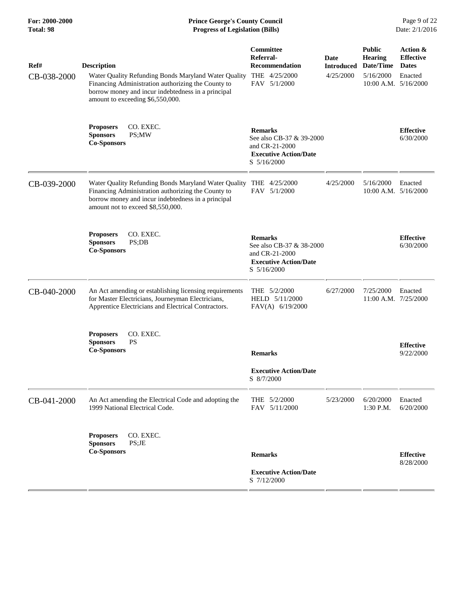| Ref#<br>CB-038-2000 | <b>Description</b><br>Water Quality Refunding Bonds Maryland Water Quality<br>Financing Administration authorizing the County to<br>borrow money and incur indebtedness in a principal<br>amount to exceeding \$6,550,000. | Committee<br>Referral-<br><b>Recommendation</b><br>THE 4/25/2000<br>FAV 5/1/2000                            | Date<br><b>Introduced</b><br>4/25/2000 | <b>Public</b><br><b>Hearing</b><br>Date/Time<br>5/16/2000<br>$10:00$ A.M. $5/16/2000$ | Action &<br><b>Effective</b><br><b>Dates</b><br>Enacted |
|---------------------|----------------------------------------------------------------------------------------------------------------------------------------------------------------------------------------------------------------------------|-------------------------------------------------------------------------------------------------------------|----------------------------------------|---------------------------------------------------------------------------------------|---------------------------------------------------------|
|                     | CO. EXEC.<br><b>Proposers</b><br><b>Sponsors</b><br>PS;MW<br><b>Co-Sponsors</b>                                                                                                                                            | <b>Remarks</b><br>See also CB-37 & 39-2000<br>and CR-21-2000<br><b>Executive Action/Date</b><br>S 5/16/2000 |                                        |                                                                                       | <b>Effective</b><br>6/30/2000                           |
| CB-039-2000         | Water Quality Refunding Bonds Maryland Water Quality<br>Financing Administration authorizing the County to<br>borrow money and incur indebtedness in a principal<br>amount not to exceed \$8,550,000.                      | THE 4/25/2000<br>FAV 5/1/2000                                                                               | 4/25/2000                              | 5/16/2000<br>10:00 A.M. 5/16/2000                                                     | Enacted                                                 |
|                     | CO. EXEC.<br><b>Proposers</b><br><b>Sponsors</b><br>PS;DB<br><b>Co-Sponsors</b>                                                                                                                                            | <b>Remarks</b><br>See also CB-37 & 38-2000<br>and CR-21-2000<br><b>Executive Action/Date</b><br>S 5/16/2000 |                                        |                                                                                       | <b>Effective</b><br>6/30/2000                           |
| CB-040-2000         | An Act amending or establishing licensing requirements<br>for Master Electricians, Journeyman Electricians,<br>Apprentice Electricians and Electrical Contractors.                                                         | THE 5/2/2000<br>HELD 5/11/2000<br>$FAV(A)$ 6/19/2000                                                        | 6/27/2000                              | 7/25/2000<br>$11:00$ A.M. $7/25/2000$                                                 | Enacted                                                 |
|                     | CO. EXEC.<br><b>Proposers</b><br><b>Sponsors</b><br><b>PS</b><br><b>Co-Sponsors</b>                                                                                                                                        | <b>Remarks</b><br><b>Executive Action/Date</b><br>S 8/7/2000                                                |                                        |                                                                                       | <b>Effective</b><br>9/22/2000                           |
| CB-041-2000         | An Act amending the Electrical Code and adopting the<br>1999 National Electrical Code.                                                                                                                                     | THE 5/2/2000<br>FAV 5/11/2000                                                                               | 5/23/2000                              | 6/20/2000<br>1:30 P.M.                                                                | Enacted<br>6/20/2000                                    |
|                     | <b>Proposers</b><br>CO. EXEC.<br>PS;JE<br><b>Sponsors</b><br><b>Co-Sponsors</b>                                                                                                                                            | <b>Remarks</b><br><b>Executive Action/Date</b><br>S 7/12/2000                                               |                                        |                                                                                       | <b>Effective</b><br>8/28/2000                           |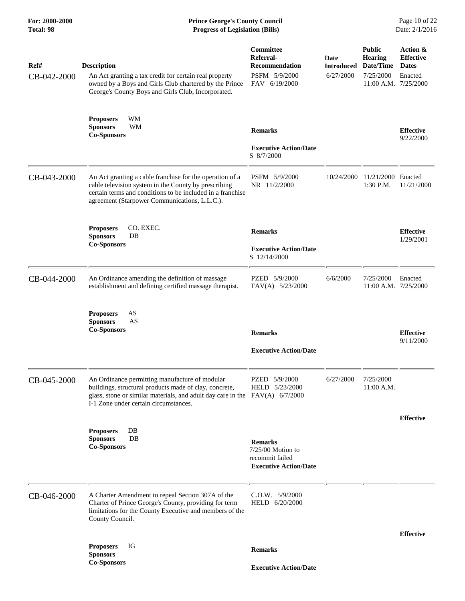## **For: 2000-2000 Prince George's County Council** Page 10 of 22<br> **Prince George's County Council** Page 10 of 22<br> **Progress of Legislation (Bills)** Date: 2/1/2016 **Total: 98 Progress of Legislation (Bills)**

| Ref#<br>CB-042-2000 | <b>Description</b><br>An Act granting a tax credit for certain real property<br>owned by a Boys and Girls Club chartered by the Prince<br>George's County Boys and Girls Club, Incorporated.                                        | Committee<br>Referral-<br><b>Recommendation</b><br>PSFM 5/9/2000<br>FAV 6/19/2000      | Date<br><b>Introduced</b><br>6/27/2000 | <b>Public</b><br><b>Hearing</b><br>Date/Time<br>7/25/2000<br>11:00 A.M. 7/25/2000 | Action &<br><b>Effective</b><br><b>Dates</b><br>Enacted |
|---------------------|-------------------------------------------------------------------------------------------------------------------------------------------------------------------------------------------------------------------------------------|----------------------------------------------------------------------------------------|----------------------------------------|-----------------------------------------------------------------------------------|---------------------------------------------------------|
|                     | <b>Proposers</b><br>WM<br><b>Sponsors</b><br><b>WM</b><br><b>Co-Sponsors</b>                                                                                                                                                        | <b>Remarks</b><br><b>Executive Action/Date</b><br>S 8/7/2000                           |                                        |                                                                                   | <b>Effective</b><br>9/22/2000                           |
| CB-043-2000         | An Act granting a cable franchise for the operation of a<br>cable television system in the County by prescribing<br>certain terms and conditions to be included in a franchise<br>agreement (Starpower Communications, L.L.C.).     | PSFM 5/9/2000<br>NR 11/2/2000                                                          | 10/24/2000                             | 11/21/2000 Enacted<br>1:30 P.M.                                                   | 11/21/2000                                              |
|                     | <b>Proposers</b><br>CO. EXEC.<br><b>Sponsors</b><br>DB<br><b>Co-Sponsors</b>                                                                                                                                                        | <b>Remarks</b><br><b>Executive Action/Date</b><br>S 12/14/2000                         |                                        |                                                                                   | <b>Effective</b><br>1/29/2001                           |
| CB-044-2000         | An Ordinance amending the definition of massage<br>establishment and defining certified massage therapist.                                                                                                                          | PZED 5/9/2000<br>FAV(A) 5/23/2000                                                      | 6/6/2000                               | 7/25/2000<br>11:00 A.M. 7/25/2000                                                 | Enacted                                                 |
|                     | AS<br><b>Proposers</b><br><b>Sponsors</b><br>AS<br><b>Co-Sponsors</b>                                                                                                                                                               | <b>Remarks</b><br><b>Executive Action/Date</b>                                         |                                        |                                                                                   | <b>Effective</b><br>9/11/2000                           |
| CB-045-2000         | An Ordinance permitting manufacture of modular<br>buildings, structural products made of clay, concrete,<br>glass, stone or similar materials, and adult day care in the $FAV(A)$ 6/7/2000<br>I-1 Zone under certain circumstances. | PZED 5/9/2000<br>HELD 5/23/2000                                                        | 6/27/2000                              | 7/25/2000<br>$11:00$ A.M.                                                         |                                                         |
|                     | <b>Proposers</b><br>DB<br>$DB$<br><b>Sponsors</b><br><b>Co-Sponsors</b>                                                                                                                                                             | <b>Remarks</b><br>7/25/00 Motion to<br>recommit failed<br><b>Executive Action/Date</b> |                                        |                                                                                   | <b>Effective</b>                                        |
| CB-046-2000         | A Charter Amendment to repeal Section 307A of the<br>Charter of Prince George's County, providing for term<br>limitations for the County Executive and members of the<br>County Council.                                            | C.O.W. 5/9/2000<br>HELD 6/20/2000                                                      |                                        |                                                                                   |                                                         |
|                     | IG<br><b>Proposers</b><br><b>Sponsors</b>                                                                                                                                                                                           | <b>Remarks</b>                                                                         |                                        |                                                                                   | <b>Effective</b>                                        |
|                     | <b>Co-Sponsors</b>                                                                                                                                                                                                                  | <b>Executive Action/Date</b>                                                           |                                        |                                                                                   |                                                         |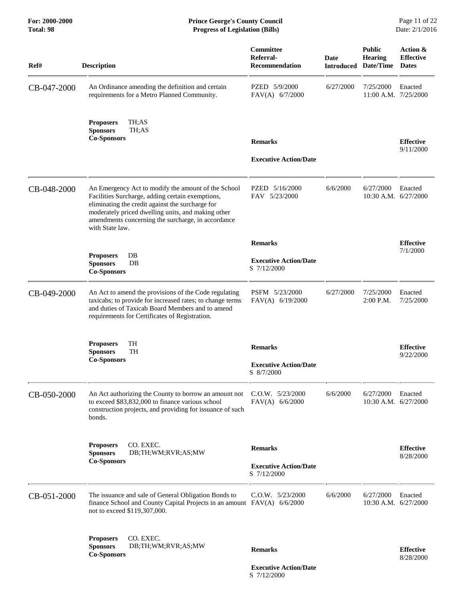| <b>Description</b>                                                                                                                                                                                                                                                                         | Committee<br>Referral-<br><b>Recommendation</b> | Date                                                                                      | <b>Public</b><br><b>Hearing</b><br>Date/Time | Action &<br><b>Effective</b><br><b>Dates</b>                                                                      |
|--------------------------------------------------------------------------------------------------------------------------------------------------------------------------------------------------------------------------------------------------------------------------------------------|-------------------------------------------------|-------------------------------------------------------------------------------------------|----------------------------------------------|-------------------------------------------------------------------------------------------------------------------|
| An Ordinance amending the definition and certain<br>requirements for a Metro Planned Community.                                                                                                                                                                                            | PZED 5/9/2000<br>$FAV(A)$ 6/7/2000              | 6/27/2000                                                                                 | 7/25/2000                                    | Enacted                                                                                                           |
| TH;AS<br><b>Proposers</b><br><b>Sponsors</b><br>TH;AS<br><b>Co-Sponsors</b>                                                                                                                                                                                                                |                                                 |                                                                                           |                                              | <b>Effective</b>                                                                                                  |
|                                                                                                                                                                                                                                                                                            | <b>Executive Action/Date</b>                    |                                                                                           |                                              | 9/11/2000                                                                                                         |
| An Emergency Act to modify the amount of the School<br>Facilities Surcharge, adding certain exemptions,<br>eliminating the credit against the surcharge for<br>moderately priced dwelling units, and making other<br>amendments concerning the surcharge, in accordance<br>with State law. | PZED 5/16/2000<br>FAV 5/23/2000                 | 6/6/2000                                                                                  | 6/27/2000                                    | Enacted                                                                                                           |
|                                                                                                                                                                                                                                                                                            | <b>Remarks</b>                                  |                                                                                           |                                              | <b>Effective</b>                                                                                                  |
| <b>Proposers</b><br>DB<br>DB<br><b>Sponsors</b><br><b>Co-Sponsors</b>                                                                                                                                                                                                                      | <b>Executive Action/Date</b><br>S 7/12/2000     |                                                                                           |                                              | 7/1/2000                                                                                                          |
| An Act to amend the provisions of the Code regulating<br>taxicabs; to provide for increased rates; to change terms<br>and duties of Taxicab Board Members and to amend<br>requirements for Certificates of Registration.                                                                   | PSFM 5/23/2000<br>FAV(A) 6/19/2000              | 6/27/2000                                                                                 | 7/25/2000<br>$2:00$ P.M.                     | Enacted<br>7/25/2000                                                                                              |
| <b>TH</b><br><b>Proposers</b><br><b>Sponsors</b><br><b>TH</b>                                                                                                                                                                                                                              | <b>Remarks</b>                                  |                                                                                           |                                              | <b>Effective</b><br>9/22/2000                                                                                     |
|                                                                                                                                                                                                                                                                                            | <b>Executive Action/Date</b><br>S 8/7/2000      |                                                                                           |                                              |                                                                                                                   |
| An Act authorizing the County to borrow an amount not<br>to exceed \$83,832,000 to finance various school<br>construction projects, and providing for issuance of such<br>bonds.                                                                                                           | $C.0.W.$ 5/23/2000<br>$FAV(A)$ 6/6/2000         | 6/6/2000                                                                                  | 6/27/2000                                    | Enacted                                                                                                           |
| CO. EXEC.<br><b>Proposers</b><br>DB;TH;WM;RVR;AS;MW<br><b>Sponsors</b>                                                                                                                                                                                                                     | <b>Remarks</b>                                  |                                                                                           |                                              | <b>Effective</b><br>8/28/2000                                                                                     |
|                                                                                                                                                                                                                                                                                            | <b>Executive Action/Date</b><br>S 7/12/2000     |                                                                                           |                                              |                                                                                                                   |
| The issuance and sale of General Obligation Bonds to<br>not to exceed \$119,307,000.                                                                                                                                                                                                       | $C.0.W.$ $5/23/2000$                            | 6/6/2000                                                                                  | 6/27/2000                                    | Enacted                                                                                                           |
| CO. EXEC.<br><b>Proposers</b><br><b>Sponsors</b><br>DB;TH;WM;RVR;AS;MW                                                                                                                                                                                                                     |                                                 |                                                                                           |                                              |                                                                                                                   |
|                                                                                                                                                                                                                                                                                            | <b>Remarks</b>                                  |                                                                                           |                                              | <b>Effective</b>                                                                                                  |
|                                                                                                                                                                                                                                                                                            | <b>Co-Sponsors</b><br><b>Co-Sponsors</b>        | <b>Remarks</b><br>finance School and County Capital Projects in an amount FAV(A) 6/6/2000 |                                              | <b>Introduced</b><br>11:00 A.M. 7/25/2000<br>10:30 A.M. 6/27/2000<br>10:30 A.M. 6/27/2000<br>10:30 A.M. 6/27/2000 |

 **Executive Action/Date** S 7/12/2000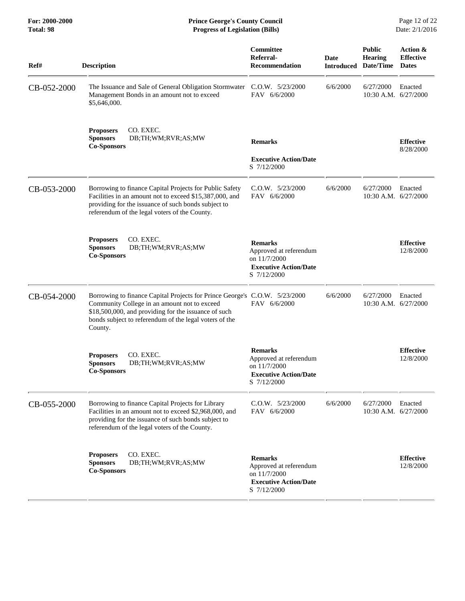| Ref#        | <b>Description</b>                                                                                                                                                                                                                                      | Committee<br>Referral-<br><b>Recommendation</b>                                                         | Date<br><b>Introduced</b> | <b>Public</b><br><b>Hearing</b><br>Date/Time | Action &<br><b>Effective</b><br><b>Dates</b> |
|-------------|---------------------------------------------------------------------------------------------------------------------------------------------------------------------------------------------------------------------------------------------------------|---------------------------------------------------------------------------------------------------------|---------------------------|----------------------------------------------|----------------------------------------------|
| CB-052-2000 | The Issuance and Sale of General Obligation Stormwater<br>Management Bonds in an amount not to exceed<br>\$5,646,000.                                                                                                                                   | $C.0.W.$ $5/23/2000$<br>FAV 6/6/2000                                                                    | 6/6/2000                  | 6/27/2000<br>10:30 A.M. 6/27/2000            | Enacted                                      |
|             | CO. EXEC.<br><b>Proposers</b><br><b>Sponsors</b><br>DB;TH;WM;RVR;AS;MW<br><b>Co-Sponsors</b>                                                                                                                                                            | <b>Remarks</b><br><b>Executive Action/Date</b><br>S 7/12/2000                                           |                           |                                              | <b>Effective</b><br>8/28/2000                |
| CB-053-2000 | Borrowing to finance Capital Projects for Public Safety<br>Facilities in an amount not to exceed \$15,387,000, and<br>providing for the issuance of such bonds subject to<br>referendum of the legal voters of the County.                              | $C.0.W.$ $5/23/2000$<br>FAV 6/6/2000                                                                    | 6/6/2000                  | 6/27/2000<br>10:30 A.M. 6/27/2000            | Enacted                                      |
|             | <b>Proposers</b><br>CO. EXEC.<br><b>Sponsors</b><br>DB;TH;WM;RVR;AS;MW<br><b>Co-Sponsors</b>                                                                                                                                                            | <b>Remarks</b><br>Approved at referendum<br>on 11/7/2000<br><b>Executive Action/Date</b><br>S 7/12/2000 |                           |                                              | <b>Effective</b><br>12/8/2000                |
| CB-054-2000 | Borrowing to finance Capital Projects for Prince George's C.O.W. 5/23/2000<br>Community College in an amount not to exceed<br>\$18,500,000, and providing for the issuance of such<br>bonds subject to referendum of the legal voters of the<br>County. | FAV 6/6/2000                                                                                            | 6/6/2000                  | 6/27/2000<br>10:30 A.M. 6/27/2000            | Enacted                                      |
|             | CO. EXEC.<br><b>Proposers</b><br><b>Sponsors</b><br>DB;TH;WM;RVR;AS;MW<br><b>Co-Sponsors</b>                                                                                                                                                            | <b>Remarks</b><br>Approved at referendum<br>on 11/7/2000<br><b>Executive Action/Date</b><br>S 7/12/2000 |                           |                                              | <b>Effective</b><br>12/8/2000                |
| CB-055-2000 | Borrowing to finance Capital Projects for Library<br>Facilities in an amount not to exceed \$2,968,000, and<br>providing for the issuance of such bonds subject to<br>referendum of the legal voters of the County.                                     | C.O.W. 5/23/2000<br>FAV 6/6/2000                                                                        | 6/6/2000                  | 6/27/2000<br>10:30 A.M. 6/27/2000            | Enacted                                      |
|             | CO. EXEC.<br><b>Proposers</b><br><b>Sponsors</b><br>DB;TH;WM;RVR;AS;MW<br><b>Co-Sponsors</b>                                                                                                                                                            | <b>Remarks</b><br>Approved at referendum<br>on 11/7/2000<br><b>Executive Action/Date</b><br>S 7/12/2000 |                           |                                              | <b>Effective</b><br>12/8/2000                |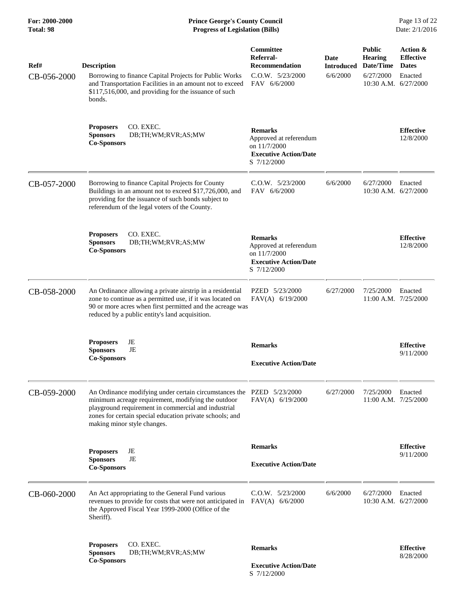| Ref#        | <b>Description</b>                                                                                                                                                                                                                                                            | Committee<br>Referral-<br><b>Recommendation</b>                                                         | Date<br><b>Introduced</b> | <b>Public</b><br><b>Hearing</b><br>Date/Time | Action &<br><b>Effective</b><br><b>Dates</b> |
|-------------|-------------------------------------------------------------------------------------------------------------------------------------------------------------------------------------------------------------------------------------------------------------------------------|---------------------------------------------------------------------------------------------------------|---------------------------|----------------------------------------------|----------------------------------------------|
| CB-056-2000 | Borrowing to finance Capital Projects for Public Works<br>and Transportation Facilities in an amount not to exceed<br>\$117,516,000, and providing for the issuance of such<br>bonds.                                                                                         | C.O.W. 5/23/2000<br>FAV 6/6/2000                                                                        | 6/6/2000                  | 6/27/2000<br>10:30 A.M. $6/27/2000$          | Enacted                                      |
|             | CO. EXEC.<br><b>Proposers</b><br><b>Sponsors</b><br>DB;TH;WM;RVR;AS;MW<br><b>Co-Sponsors</b>                                                                                                                                                                                  | <b>Remarks</b><br>Approved at referendum<br>on 11/7/2000<br><b>Executive Action/Date</b><br>S 7/12/2000 |                           |                                              | <b>Effective</b><br>12/8/2000                |
| CB-057-2000 | Borrowing to finance Capital Projects for County<br>Buildings in an amount not to exceed \$17,726,000, and<br>providing for the issuance of such bonds subject to<br>referendum of the legal voters of the County.                                                            | C.O.W. 5/23/2000<br>FAV 6/6/2000                                                                        | 6/6/2000                  | 6/27/2000<br>10:30 A.M. 6/27/2000            | Enacted                                      |
|             | CO. EXEC.<br><b>Proposers</b><br><b>Sponsors</b><br>DB;TH;WM;RVR;AS;MW<br><b>Co-Sponsors</b>                                                                                                                                                                                  | <b>Remarks</b><br>Approved at referendum<br>on 11/7/2000<br><b>Executive Action/Date</b><br>S 7/12/2000 |                           |                                              | <b>Effective</b><br>12/8/2000                |
| CB-058-2000 | An Ordinance allowing a private airstrip in a residential<br>zone to continue as a permitted use, if it was located on<br>90 or more acres when first permitted and the acreage was<br>reduced by a public entity's land acquisition.                                         | PZED 5/23/2000<br>$FAV(A)$ 6/19/2000                                                                    | 6/27/2000                 | 7/25/2000<br>11:00 A.M. 7/25/2000            | Enacted                                      |
|             | <b>Proposers</b><br>JE<br>JE<br><b>Sponsors</b><br><b>Co-Sponsors</b>                                                                                                                                                                                                         | <b>Remarks</b><br><b>Executive Action/Date</b>                                                          |                           |                                              | <b>Effective</b><br>9/11/2000                |
| CB-059-2000 | An Ordinance modifying under certain circumstances the PZED 5/23/2000<br>minimum acreage requirement, modifying the outdoor<br>playground requirement in commercial and industrial<br>zones for certain special education private schools; and<br>making minor style changes. | FAV(A) 6/19/2000                                                                                        | 6/27/2000                 | 7/25/2000<br>$11:00$ A.M. $7/25/2000$        | Enacted                                      |
|             | <b>Proposers</b><br>JE<br>JE<br><b>Sponsors</b><br><b>Co-Sponsors</b>                                                                                                                                                                                                         | <b>Remarks</b><br><b>Executive Action/Date</b>                                                          |                           |                                              | <b>Effective</b><br>9/11/2000                |
| CB-060-2000 | An Act appropriating to the General Fund various<br>revenues to provide for costs that were not anticipated in<br>the Approved Fiscal Year 1999-2000 (Office of the<br>Sheriff).                                                                                              | C.O.W. 5/23/2000<br>$FAV(A)$ 6/6/2000                                                                   | 6/6/2000                  | 6/27/2000<br>10:30 A.M. 6/27/2000            | Enacted                                      |
|             | <b>Proposers</b><br>CO. EXEC.<br><b>Sponsors</b><br>DB;TH;WM;RVR;AS;MW<br><b>Co-Sponsors</b>                                                                                                                                                                                  | <b>Remarks</b><br><b>Executive Action/Date</b><br>S 7/12/2000                                           |                           |                                              | <b>Effective</b><br>8/28/2000                |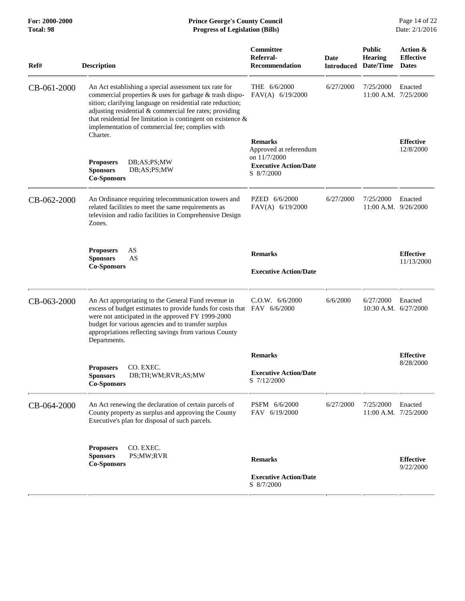| Ref#        | <b>Description</b>                                                                                                                                                                                                                                                                                                                                              | Committee<br>Referral-<br><b>Recommendation</b>                                                        | <b>Date</b><br><b>Introduced</b> | <b>Public</b><br><b>Hearing</b><br>Date/Time | Action &<br><b>Effective</b><br><b>Dates</b> |
|-------------|-----------------------------------------------------------------------------------------------------------------------------------------------------------------------------------------------------------------------------------------------------------------------------------------------------------------------------------------------------------------|--------------------------------------------------------------------------------------------------------|----------------------------------|----------------------------------------------|----------------------------------------------|
| CB-061-2000 | An Act establishing a special assessment tax rate for<br>commercial properties & uses for garbage & trash dispo-<br>sition; clarifying language on residential rate reduction;<br>adjusting residential & commercial fee rates; providing<br>that residential fee limitation is contingent on existence $\&$<br>implementation of commercial fee; complies with | THE 6/6/2000<br>FAV(A) 6/19/2000                                                                       | 6/27/2000                        | 7/25/2000<br>$11:00$ A.M. $7/25/2000$        | Enacted                                      |
|             | Charter.<br><b>Proposers</b><br>DB;AS;PS;MW<br><b>Sponsors</b><br>DB;AS;PS;MW<br><b>Co-Sponsors</b>                                                                                                                                                                                                                                                             | <b>Remarks</b><br>Approved at referendum<br>on 11/7/2000<br><b>Executive Action/Date</b><br>S 8/7/2000 |                                  |                                              | <b>Effective</b><br>12/8/2000                |
| CB-062-2000 | An Ordinance requiring telecommunication towers and<br>related facilities to meet the same requirements as<br>television and radio facilities in Comprehensive Design<br>Zones.                                                                                                                                                                                 | PZED 6/6/2000<br>FAV(A) 6/19/2000                                                                      | 6/27/2000                        | 7/25/2000<br>$11:00$ A.M. $9/26/2000$        | Enacted                                      |
|             | AS<br><b>Proposers</b><br><b>Sponsors</b><br>AS<br><b>Co-Sponsors</b>                                                                                                                                                                                                                                                                                           | <b>Remarks</b><br><b>Executive Action/Date</b>                                                         |                                  |                                              | <b>Effective</b><br>11/13/2000               |
| CB-063-2000 | An Act appropriating to the General Fund revenue in<br>excess of budget estimates to provide funds for costs that FAV 6/6/2000<br>were not anticipated in the approved FY 1999-2000<br>budget for various agencies and to transfer surplus<br>appropriations reflecting savings from various County<br>Departments.                                             | C.O.W. 6/6/2000                                                                                        | 6/6/2000                         | 6/27/2000<br>10:30 A.M. 6/27/2000            | Enacted                                      |
|             | CO. EXEC.<br><b>Proposers</b><br>DB;TH;WM;RVR;AS;MW<br><b>Sponsors</b>                                                                                                                                                                                                                                                                                          | <b>Remarks</b><br><b>Executive Action/Date</b>                                                         |                                  |                                              | <b>Effective</b><br>8/28/2000                |
|             | <b>Co-Sponsors</b>                                                                                                                                                                                                                                                                                                                                              | S 7/12/2000                                                                                            |                                  |                                              |                                              |
| CB-064-2000 | An Act renewing the declaration of certain parcels of<br>County property as surplus and approving the County<br>Executive's plan for disposal of such parcels.                                                                                                                                                                                                  | PSFM 6/6/2000<br>FAV 6/19/2000                                                                         | 6/27/2000                        | 7/25/2000<br>11:00 A.M. 7/25/2000            | Enacted                                      |
|             | CO. EXEC.<br><b>Proposers</b><br><b>Sponsors</b><br>PS;MW;RVR<br><b>Co-Sponsors</b>                                                                                                                                                                                                                                                                             | <b>Remarks</b><br><b>Executive Action/Date</b>                                                         |                                  |                                              | <b>Effective</b><br>9/22/2000                |
|             |                                                                                                                                                                                                                                                                                                                                                                 | S 8/7/2000                                                                                             |                                  |                                              |                                              |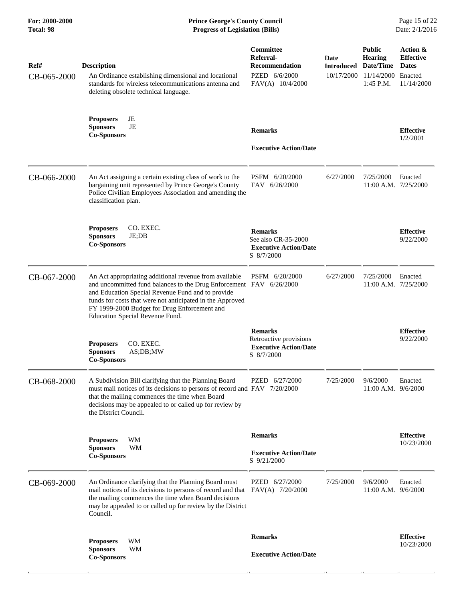| Ref#<br>CB-065-2000 | <b>Description</b><br>An Ordinance establishing dimensional and locational<br>standards for wireless telecommunications antenna and<br>deleting obsolete technical language.                                                                                                                                                       | Committee<br>Referral-<br><b>Recommendation</b><br>PZED 6/6/2000<br>$FAV(A)$ 10/4/2000 | Date<br><b>Introduced</b><br>10/17/2000 | <b>Public</b><br><b>Hearing</b><br>Date/Time<br>11/14/2000<br>$1:45$ P.M. | Action &<br><b>Effective</b><br><b>Dates</b><br>Enacted<br>11/14/2000 |
|---------------------|------------------------------------------------------------------------------------------------------------------------------------------------------------------------------------------------------------------------------------------------------------------------------------------------------------------------------------|----------------------------------------------------------------------------------------|-----------------------------------------|---------------------------------------------------------------------------|-----------------------------------------------------------------------|
|                     | <b>Proposers</b><br>JE<br>JE<br><b>Sponsors</b><br><b>Co-Sponsors</b>                                                                                                                                                                                                                                                              | <b>Remarks</b><br><b>Executive Action/Date</b>                                         |                                         |                                                                           | <b>Effective</b><br>1/2/2001                                          |
| CB-066-2000         | An Act assigning a certain existing class of work to the<br>bargaining unit represented by Prince George's County<br>Police Civilian Employees Association and amending the<br>classification plan.                                                                                                                                | PSFM 6/20/2000<br>FAV 6/26/2000                                                        | 6/27/2000                               | 7/25/2000<br>11:00 A.M. 7/25/2000                                         | Enacted                                                               |
|                     | <b>Proposers</b><br>CO. EXEC.<br>JE;DB<br><b>Sponsors</b><br><b>Co-Sponsors</b>                                                                                                                                                                                                                                                    | <b>Remarks</b><br>See also CR-35-2000<br><b>Executive Action/Date</b><br>S 8/7/2000    |                                         |                                                                           | <b>Effective</b><br>9/22/2000                                         |
| CB-067-2000         | An Act appropriating additional revenue from available<br>and uncommitted fund balances to the Drug Enforcement FAV 6/26/2000<br>and Education Special Revenue Fund and to provide<br>funds for costs that were not anticipated in the Approved<br>FY 1999-2000 Budget for Drug Enforcement and<br>Education Special Revenue Fund. | PSFM 6/20/2000                                                                         | 6/27/2000                               | 7/25/2000<br>$11:00$ A.M. $7/25/2000$                                     | Enacted                                                               |
|                     | CO. EXEC.<br><b>Proposers</b><br><b>Sponsors</b><br>AS;DB;MW<br><b>Co-Sponsors</b>                                                                                                                                                                                                                                                 | <b>Remarks</b><br>Retroactive provisions<br><b>Executive Action/Date</b><br>S 8/7/2000 |                                         |                                                                           | <b>Effective</b><br>9/22/2000                                         |
| CB-068-2000         | A Subdivision Bill clarifying that the Planning Board<br>must mail notices of its decisions to persons of record and FAV 7/20/2000<br>that the mailing commences the time when Board<br>decisions may be appealed to or called up for review by<br>the District Council.                                                           | PZED 6/27/2000                                                                         | 7/25/2000                               | 9/6/2000<br>$11:00$ A.M. $9/6/2000$                                       | Enacted                                                               |
|                     | <b>Proposers</b><br>WM<br><b>Sponsors</b><br>WM<br><b>Co-Sponsors</b>                                                                                                                                                                                                                                                              | <b>Remarks</b><br><b>Executive Action/Date</b><br>S 9/21/2000                          |                                         |                                                                           | <b>Effective</b><br>10/23/2000                                        |
| CB-069-2000         | An Ordinance clarifying that the Planning Board must<br>mail notices of its decisions to persons of record and that FAV(A) 7/20/2000<br>the mailing commences the time when Board decisions<br>may be appealed to or called up for review by the District<br>Council.                                                              | PZED 6/27/2000                                                                         | 7/25/2000                               | 9/6/2000<br>$11:00$ A.M. $9/6/2000$                                       | Enacted                                                               |
|                     | WM<br><b>Proposers</b><br><b>Sponsors</b><br><b>WM</b><br><b>Co-Sponsors</b>                                                                                                                                                                                                                                                       | <b>Remarks</b><br><b>Executive Action/Date</b>                                         |                                         |                                                                           | <b>Effective</b><br>10/23/2000                                        |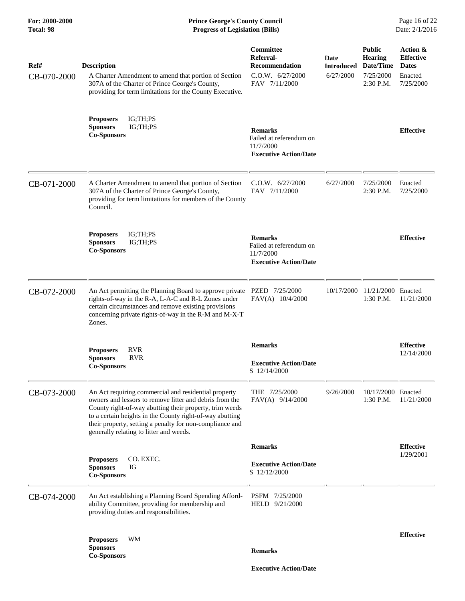| Ref#<br>CB-070-2000 | <b>Description</b><br>A Charter Amendment to amend that portion of Section<br>307A of the Charter of Prince George's County,<br>providing for term limitations for the County Executive.                                                                                                                                                      | Committee<br>Referral-<br><b>Recommendation</b><br>C.O.W. 6/27/2000<br>FAV 7/11/2000   | Date<br><b>Introduced</b><br>6/27/2000 | <b>Public</b><br><b>Hearing</b><br>Date/Time<br>7/25/2000<br>$2:30$ P.M. | Action &<br><b>Effective</b><br><b>Dates</b><br>Enacted<br>7/25/2000 |
|---------------------|-----------------------------------------------------------------------------------------------------------------------------------------------------------------------------------------------------------------------------------------------------------------------------------------------------------------------------------------------|----------------------------------------------------------------------------------------|----------------------------------------|--------------------------------------------------------------------------|----------------------------------------------------------------------|
|                     | <b>Proposers</b><br>IG;TH;PS<br><b>Sponsors</b><br>IG;TH;PS<br><b>Co-Sponsors</b>                                                                                                                                                                                                                                                             | <b>Remarks</b><br>Failed at referendum on<br>11/7/2000<br><b>Executive Action/Date</b> |                                        |                                                                          | <b>Effective</b>                                                     |
| CB-071-2000         | A Charter Amendment to amend that portion of Section<br>307A of the Charter of Prince George's County,<br>providing for term limitations for members of the County<br>Council.                                                                                                                                                                | C.O.W. 6/27/2000<br>FAV 7/11/2000                                                      | 6/27/2000                              | 7/25/2000<br>2:30 P.M.                                                   | Enacted<br>7/25/2000                                                 |
|                     | IG;TH;PS<br><b>Proposers</b><br><b>Sponsors</b><br>IG;TH;PS<br><b>Co-Sponsors</b>                                                                                                                                                                                                                                                             | <b>Remarks</b><br>Failed at referendum on<br>11/7/2000<br><b>Executive Action/Date</b> |                                        |                                                                          | <b>Effective</b>                                                     |
| CB-072-2000         | An Act permitting the Planning Board to approve private<br>rights-of-way in the R-A, L-A-C and R-L Zones under<br>certain circumstances and remove existing provisions<br>concerning private rights-of-way in the R-M and M-X-T<br>Zones.                                                                                                     | PZED 7/25/2000<br>FAV(A) 10/4/2000                                                     |                                        | 10/17/2000 11/21/2000 Enacted<br>1:30 P.M.                               | 11/21/2000                                                           |
|                     | <b>RVR</b><br><b>Proposers</b><br><b>Sponsors</b><br><b>RVR</b><br><b>Co-Sponsors</b>                                                                                                                                                                                                                                                         | <b>Remarks</b><br><b>Executive Action/Date</b><br>S 12/14/2000                         |                                        |                                                                          | <b>Effective</b><br>12/14/2000                                       |
| CB-073-2000         | An Act requiring commercial and residential property<br>owners and lessors to remove litter and debris from the<br>County right-of-way abutting their property, trim weeds<br>to a certain heights in the County right-of-way abutting<br>their property, setting a penalty for non-compliance and<br>generally relating to litter and weeds. | THE 7/25/2000<br>FAV(A) 9/14/2000                                                      | 9/26/2000                              | 10/17/2000 Enacted<br>$1:30$ P.M.                                        | 11/21/2000                                                           |
|                     |                                                                                                                                                                                                                                                                                                                                               | <b>Remarks</b>                                                                         |                                        |                                                                          | <b>Effective</b>                                                     |
|                     | CO. EXEC.<br><b>Proposers</b><br><b>Sponsors</b><br>IG<br><b>Co-Sponsors</b>                                                                                                                                                                                                                                                                  | <b>Executive Action/Date</b><br>S 12/12/2000                                           |                                        |                                                                          | 1/29/2001                                                            |
| CB-074-2000         | An Act establishing a Planning Board Spending Afford-<br>ability Committee, providing for membership and<br>providing duties and responsibilities.                                                                                                                                                                                            | PSFM 7/25/2000<br>HELD 9/21/2000                                                       |                                        |                                                                          |                                                                      |
|                     | WM<br><b>Proposers</b><br><b>Sponsors</b>                                                                                                                                                                                                                                                                                                     | <b>Remarks</b>                                                                         |                                        |                                                                          | <b>Effective</b>                                                     |
|                     | <b>Co-Sponsors</b>                                                                                                                                                                                                                                                                                                                            | <b>Executive Action/Date</b>                                                           |                                        |                                                                          |                                                                      |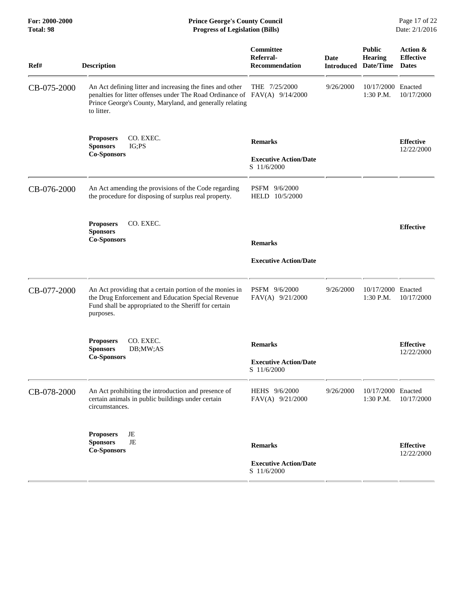| Total: 98   | <b>Progress of Legislation (Bills)</b>                                                                                                                                                                            |                                                               |           |                                                         | Date: 2/1/2016                               |
|-------------|-------------------------------------------------------------------------------------------------------------------------------------------------------------------------------------------------------------------|---------------------------------------------------------------|-----------|---------------------------------------------------------|----------------------------------------------|
| Ref#        | <b>Description</b>                                                                                                                                                                                                | Committee<br>Referral-<br><b>Recommendation</b>               | Date      | <b>Public</b><br>Hearing<br><b>Introduced Date/Time</b> | Action &<br><b>Effective</b><br><b>Dates</b> |
| CB-075-2000 | An Act defining litter and increasing the fines and other<br>penalties for litter offenses under The Road Ordinance of FAV(A) 9/14/2000<br>Prince George's County, Maryland, and generally relating<br>to litter. | THE 7/25/2000                                                 | 9/26/2000 | 10/17/2000<br>1:30 P.M.                                 | Enacted<br>10/17/2000                        |
|             | CO. EXEC.<br><b>Proposers</b><br><b>Sponsors</b><br>IG; PS<br><b>Co-Sponsors</b>                                                                                                                                  | <b>Remarks</b><br><b>Executive Action/Date</b><br>S 11/6/2000 |           |                                                         | <b>Effective</b><br>12/22/2000               |
| CB-076-2000 | An Act amending the provisions of the Code regarding<br>the procedure for disposing of surplus real property.                                                                                                     | PSFM 9/6/2000<br>HELD 10/5/2000                               |           |                                                         |                                              |
|             | <b>Proposers</b><br>CO. EXEC.<br><b>Sponsors</b><br><b>Co-Sponsors</b>                                                                                                                                            | <b>Remarks</b><br><b>Executive Action/Date</b>                |           |                                                         | <b>Effective</b>                             |
| CB-077-2000 | An Act providing that a certain portion of the monies in<br>the Drug Enforcement and Education Special Revenue<br>Fund shall be appropriated to the Sheriff for certain<br>purposes.                              | PSFM 9/6/2000<br>FAV(A) 9/21/2000                             | 9/26/2000 | 10/17/2000 Enacted<br>1:30 P.M.                         | 10/17/2000                                   |
|             | CO. EXEC.<br><b>Proposers</b><br><b>Sponsors</b><br>DB;MW;AS<br><b>Co-Sponsors</b>                                                                                                                                | <b>Remarks</b><br><b>Executive Action/Date</b><br>S 11/6/2000 |           |                                                         | <b>Effective</b><br>12/22/2000               |
| CB-078-2000 | An Act prohibiting the introduction and presence of<br>certain animals in public buildings under certain<br>circumstances.                                                                                        | HEHS 9/6/2000<br>FAV(A) 9/21/2000                             | 9/26/2000 | 10/17/2000 Enacted<br>1:30 P.M.                         | 10/17/2000                                   |
|             | JE<br><b>Proposers</b><br>$\rm{JE}$<br><b>Sponsors</b><br><b>Co-Sponsors</b>                                                                                                                                      | <b>Remarks</b><br><b>Executive Action/Date</b><br>S 11/6/2000 |           |                                                         | <b>Effective</b><br>12/22/2000               |

For: 2000-2000 **Prince George's County Council** Page 17 of 22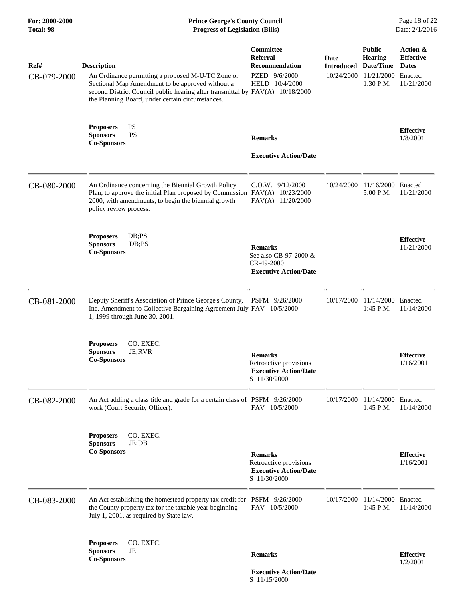### **For: 2000-2000 Prince George's County Council** Page 18 of 22<br> **Formal Page 18 of 22**<br> **Prince George's County Council** Page 18 of 22<br> **Progress of Legislation (Bills)** Date: 2/1/2016 **Total: 98 Progress of Legislation (Bills)**

| Ref#<br>CB-079-2000 | <b>Description</b><br>An Ordinance permitting a proposed M-U-TC Zone or<br>Sectional Map Amendment to be approved without a<br>second District Council public hearing after transmittal by FAV(A) 10/18/2000<br>the Planning Board, under certain circumstances. | Committee<br>Referral-<br>Recommendation<br>PZED 9/6/2000<br>HELD 10/4/2000              | Date<br>Introduced<br>10/24/2000 | <b>Public</b><br><b>Hearing</b><br>Date/Time<br>11/21/2000<br>1:30 P.M. | Action &<br><b>Effective</b><br><b>Dates</b><br>Enacted<br>11/21/2000 |
|---------------------|------------------------------------------------------------------------------------------------------------------------------------------------------------------------------------------------------------------------------------------------------------------|------------------------------------------------------------------------------------------|----------------------------------|-------------------------------------------------------------------------|-----------------------------------------------------------------------|
|                     | PS<br><b>Proposers</b><br><b>PS</b><br><b>Sponsors</b><br><b>Co-Sponsors</b>                                                                                                                                                                                     | <b>Remarks</b><br><b>Executive Action/Date</b>                                           |                                  |                                                                         | <b>Effective</b><br>1/8/2001                                          |
| CB-080-2000         | An Ordinance concerning the Biennial Growth Policy<br>Plan, to approve the initial Plan proposed by Commission FAV(A) 10/23/2000<br>2000, with amendments, to begin the biennial growth<br>policy review process.                                                | $C.O.W.$ 9/12/2000<br>FAV(A) 11/20/2000                                                  | 10/24/2000                       | 11/16/2000 Enacted<br>5:00 P.M.                                         | 11/21/2000                                                            |
|                     | DB; PS<br><b>Proposers</b><br><b>Sponsors</b><br>DB;PS<br><b>Co-Sponsors</b>                                                                                                                                                                                     | <b>Remarks</b><br>See also CB-97-2000 &<br>CR-49-2000<br><b>Executive Action/Date</b>    |                                  |                                                                         | <b>Effective</b><br>11/21/2000                                        |
| CB-081-2000         | Deputy Sheriff's Association of Prince George's County,<br>Inc. Amendment to Collective Bargaining Agreement July FAV 10/5/2000<br>1, 1999 through June 30, 2001.                                                                                                | PSFM 9/26/2000                                                                           | 10/17/2000                       | 11/14/2000 Enacted<br>1:45 P.M.                                         | 11/14/2000                                                            |
|                     | CO. EXEC.<br><b>Proposers</b><br><b>Sponsors</b><br>JE;RVR<br><b>Co-Sponsors</b>                                                                                                                                                                                 | <b>Remarks</b><br>Retroactive provisions<br><b>Executive Action/Date</b><br>S 11/30/2000 |                                  |                                                                         | <b>Effective</b><br>1/16/2001                                         |
| CB-082-2000         | An Act adding a class title and grade for a certain class of PSFM 9/26/2000<br>work (Court Security Officer).                                                                                                                                                    | FAV 10/5/2000                                                                            | 10/17/2000                       | 11/14/2000<br>1:45 P.M.                                                 | Enacted<br>11/14/2000                                                 |
|                     | <b>Proposers</b><br>CO. EXEC.<br>JE;DB<br><b>Sponsors</b><br><b>Co-Sponsors</b>                                                                                                                                                                                  | <b>Remarks</b><br>Retroactive provisions<br><b>Executive Action/Date</b><br>S 11/30/2000 |                                  |                                                                         | <b>Effective</b><br>1/16/2001                                         |
| CB-083-2000         | An Act establishing the homestead property tax credit for PSFM 9/26/2000<br>the County property tax for the taxable year beginning<br>July 1, 2001, as required by State law.                                                                                    | FAV 10/5/2000                                                                            | 10/17/2000                       | 11/14/2000 Enacted<br>$1:45$ P.M.                                       | 11/14/2000                                                            |
|                     | <b>Proposers</b><br>CO. EXEC.<br>JE<br><b>Sponsors</b><br><b>Co-Sponsors</b>                                                                                                                                                                                     | <b>Remarks</b>                                                                           |                                  |                                                                         | <b>Effective</b><br>1/2/2001                                          |

 **Executive Action/Date** S 11/15/2000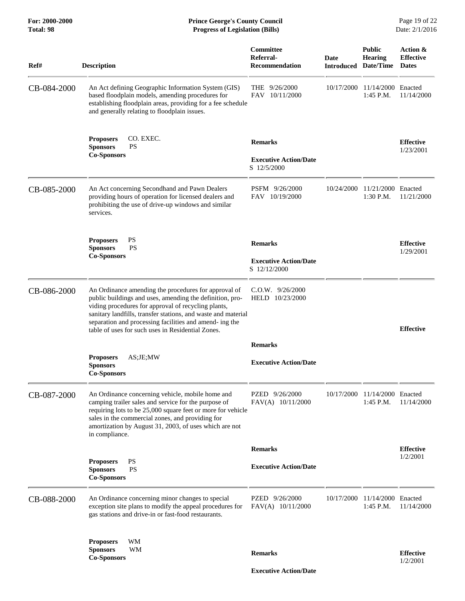**For: 2000-2000 Prince George's County Council** Page 19 of 22<br> **Formal Page 19 of 22**<br> **Prince George's County Council** Page 19 of 22<br> **Progress of Legislation (Bills)** Date: 2/1/2016 **Total: 98 Progress of Legislation (Bills)** 

| Ref#        | <b>Description</b>                                                                                                                                                                                                                                                                                                                                      | Committee<br>Referral-<br>Recommendation                       | Date<br><b>Introduced Date/Time</b> | <b>Public</b><br><b>Hearing</b>   | Action &<br><b>Effective</b><br><b>Dates</b> |
|-------------|---------------------------------------------------------------------------------------------------------------------------------------------------------------------------------------------------------------------------------------------------------------------------------------------------------------------------------------------------------|----------------------------------------------------------------|-------------------------------------|-----------------------------------|----------------------------------------------|
| CB-084-2000 | An Act defining Geographic Information System (GIS)<br>based floodplain models, amending procedures for<br>establishing floodplain areas, providing for a fee schedule<br>and generally relating to floodplain issues.                                                                                                                                  | THE $9/26/2000$<br>FAV 10/11/2000                              | 10/17/2000                          | 11/14/2000 Enacted<br>$1:45$ P.M. | 11/14/2000                                   |
|             | CO. EXEC.<br><b>Proposers</b><br><b>Sponsors</b><br><b>PS</b><br><b>Co-Sponsors</b>                                                                                                                                                                                                                                                                     | <b>Remarks</b><br><b>Executive Action/Date</b><br>S 12/5/2000  |                                     |                                   | <b>Effective</b><br>1/23/2001                |
| CB-085-2000 | An Act concerning Secondhand and Pawn Dealers<br>providing hours of operation for licensed dealers and<br>prohibiting the use of drive-up windows and similar<br>services.                                                                                                                                                                              | PSFM 9/26/2000<br>FAV 10/19/2000                               | 10/24/2000                          | 11/21/2000 Enacted<br>1:30 P.M.   | 11/21/2000                                   |
|             | <b>Proposers</b><br><b>PS</b><br><b>PS</b><br><b>Sponsors</b><br><b>Co-Sponsors</b>                                                                                                                                                                                                                                                                     | <b>Remarks</b><br><b>Executive Action/Date</b><br>S 12/12/2000 |                                     |                                   | <b>Effective</b><br>1/29/2001                |
| CB-086-2000 | An Ordinance amending the procedures for approval of<br>public buildings and uses, amending the definition, pro-<br>viding procedures for approval of recycling plants,<br>sanitary landfills, transfer stations, and waste and material<br>separation and processing facilities and amend-ing the<br>table of uses for such uses in Residential Zones. | $C.O.W.$ 9/26/2000<br>HELD 10/23/2000                          |                                     |                                   | <b>Effective</b>                             |
|             |                                                                                                                                                                                                                                                                                                                                                         | <b>Remarks</b>                                                 |                                     |                                   |                                              |
|             | <b>Proposers</b><br>$AS$ ; JE; MW<br><b>Sponsors</b><br><b>Co-Sponsors</b>                                                                                                                                                                                                                                                                              | <b>Executive Action/Date</b>                                   |                                     |                                   |                                              |
| CB-087-2000 | An Ordinance concerning vehicle, mobile home and<br>camping trailer sales and service for the purpose of<br>requiring lots to be 25,000 square feet or more for vehicle<br>sales in the commercial zones, and providing for<br>amortization by August 31, 2003, of uses which are not<br>in compliance.                                                 | PZED 9/26/2000<br>FAV(A) 10/11/2000                            | 10/17/2000                          | 11/14/2000 Enacted<br>1:45 P.M.   | 11/14/2000                                   |
|             |                                                                                                                                                                                                                                                                                                                                                         | <b>Remarks</b>                                                 |                                     |                                   | <b>Effective</b>                             |
|             | <b>PS</b><br><b>Proposers</b><br><b>Sponsors</b><br>PS<br><b>Co-Sponsors</b>                                                                                                                                                                                                                                                                            | <b>Executive Action/Date</b>                                   |                                     |                                   | 1/2/2001                                     |
| CB-088-2000 | An Ordinance concerning minor changes to special<br>exception site plans to modify the appeal procedures for<br>gas stations and drive-in or fast-food restaurants.                                                                                                                                                                                     | PZED 9/26/2000<br>FAV(A) 10/11/2000                            | 10/17/2000                          | 11/14/2000 Enacted<br>1:45 P.M.   | 11/14/2000                                   |
|             | WМ<br><b>Proposers</b><br><b>Sponsors</b><br><b>WM</b><br><b>Co-Sponsors</b>                                                                                                                                                                                                                                                                            | <b>Remarks</b>                                                 |                                     |                                   | <b>Effective</b><br>1/2/2001                 |
|             |                                                                                                                                                                                                                                                                                                                                                         | <b>Executive Action/Date</b>                                   |                                     |                                   |                                              |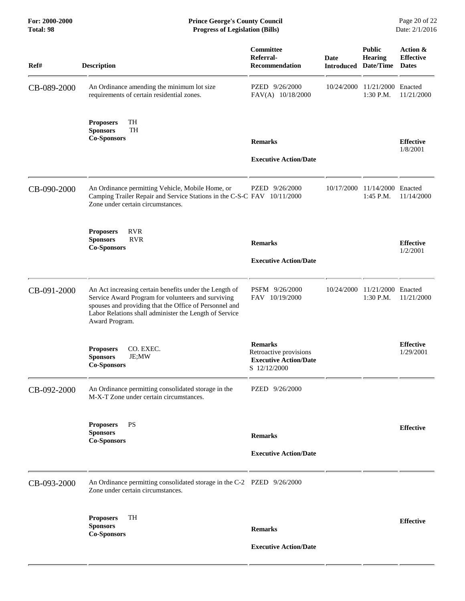| Ref#        | <b>Description</b>                                                                                                                                                                                                                                 | Committee<br>Referral-<br><b>Recommendation</b>                                          | Date<br><b>Introduced Date/Time</b> | <b>Public</b><br><b>Hearing</b> | Action &<br><b>Effective</b><br><b>Dates</b> |
|-------------|----------------------------------------------------------------------------------------------------------------------------------------------------------------------------------------------------------------------------------------------------|------------------------------------------------------------------------------------------|-------------------------------------|---------------------------------|----------------------------------------------|
| CB-089-2000 | An Ordinance amending the minimum lot size<br>requirements of certain residential zones.                                                                                                                                                           | PZED 9/26/2000<br>FAV(A) 10/18/2000                                                      | 10/24/2000                          | 11/21/2000 Enacted<br>1:30 P.M. | 11/21/2000                                   |
|             | TH<br><b>Proposers</b><br>TH<br><b>Sponsors</b><br><b>Co-Sponsors</b>                                                                                                                                                                              | <b>Remarks</b><br><b>Executive Action/Date</b>                                           |                                     |                                 | <b>Effective</b><br>1/8/2001                 |
| CB-090-2000 | An Ordinance permitting Vehicle, Mobile Home, or<br>Camping Trailer Repair and Service Stations in the C-S-C FAV 10/11/2000<br>Zone under certain circumstances.                                                                                   | PZED 9/26/2000                                                                           | 10/17/2000                          | 11/14/2000 Enacted<br>1:45 P.M. | 11/14/2000                                   |
|             | <b>RVR</b><br><b>Proposers</b><br><b>RVR</b><br><b>Sponsors</b><br><b>Co-Sponsors</b>                                                                                                                                                              | <b>Remarks</b><br><b>Executive Action/Date</b>                                           |                                     |                                 | <b>Effective</b><br>1/2/2001                 |
| CB-091-2000 | An Act increasing certain benefits under the Length of<br>Service Award Program for volunteers and surviving<br>spouses and providing that the Office of Personnel and<br>Labor Relations shall administer the Length of Service<br>Award Program. | PSFM 9/26/2000<br>FAV 10/19/2000                                                         | 10/24/2000                          | 11/21/2000 Enacted<br>1:30 P.M. | 11/21/2000                                   |
|             | CO. EXEC.<br><b>Proposers</b><br>JE;MW<br><b>Sponsors</b><br><b>Co-Sponsors</b>                                                                                                                                                                    | <b>Remarks</b><br>Retroactive provisions<br><b>Executive Action/Date</b><br>S 12/12/2000 |                                     |                                 | <b>Effective</b><br>1/29/2001                |
| CB-092-2000 | An Ordinance permitting consolidated storage in the<br>M-X-T Zone under certain circumstances.                                                                                                                                                     | PZED 9/26/2000                                                                           |                                     |                                 |                                              |
|             | <b>PS</b><br><b>Proposers</b><br><b>Sponsors</b><br><b>Co-Sponsors</b>                                                                                                                                                                             | <b>Remarks</b><br><b>Executive Action/Date</b>                                           |                                     |                                 | <b>Effective</b>                             |
| CB-093-2000 | An Ordinance permitting consolidated storage in the C-2 PZED 9/26/2000<br>Zone under certain circumstances.                                                                                                                                        |                                                                                          |                                     |                                 |                                              |
|             | <b>TH</b><br><b>Proposers</b><br><b>Sponsors</b><br><b>Co-Sponsors</b>                                                                                                                                                                             | <b>Remarks</b><br><b>Executive Action/Date</b>                                           |                                     |                                 | <b>Effective</b>                             |